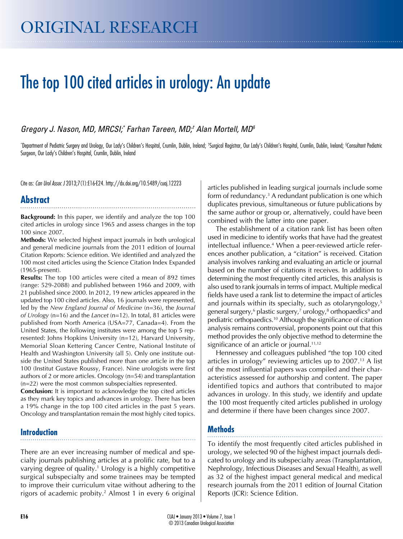# The top 100 cited articles in urology: An update

#### *Gregory J. Nason, MD, MRCSI;\* Farhan Tareen, MD;† Alan Mortell, MD§*

\*Department of Pediatric Surgery and Urology, Our Lady's Children's Hospital, Crumlin, Dublin, Ireland; \*Surgical Registrar, Our Lady's Children's Hospital, Crumlin, Dublin, Ireland; \*Consultant Pediatric Surgeon, Our Lady's Children's Hospital, Crumlin, Dublin, Ireland

Cite as: *Can Urol Assoc J* 2013;7(1):E16-E24. http://dx.doi.org/10.5489/cuaj.12223

## **Abstract**

**Background:** In this paper, we identify and analyze the top 100 cited articles in urology since 1965 and assess changes in the top 100 since 2007.

**Methods:** We selected highest impact journals in both urological and general medicine journals from the 2011 edition of Journal Citation Reports: Science edition. We identified and analyzed the 100 most cited articles using the Science Citation Index Expanded (1965-present).

**Results:** The top 100 articles were cited a mean of 892 times (range: 529-2088) and published between 1966 and 2009, with 21 published since 2000. In 2012, 19 new articles appeared in the updated top 100 cited articles. Also, 16 journals were represented, led by the *New England Journal of Medicine* (n=36), the *Journal of Urology* (n=16) and the *Lancet* (n=12). In total, 81 articles were published from North America (USA=77, Canada=4). From the United States, the following institutes were among the top 5 represented: Johns Hopkins University (n=12), Harvard University, Memorial Sloan Kettering Cancer Centre, National Institute of Health and Washington University (all 5). Only one institute outside the United States published more than one article in the top 100 (Institut Gustave Roussy, France). Nine urologists were first authors of 2 or more articles. Oncology (n=54) and transplantation (n=22) were the most common subspecialties represented.

**Conclusion:** It is important to acknowledge the top cited articles as they mark key topics and advances in urology. There has been a 19% change in the top 100 cited articles in the past 5 years. Oncology and transplantation remain the most highly cited topics.

# **Introduction**

There are an ever increasing number of medical and specialty journals publishing articles at a prolific rate, but to a varying degree of quality.<sup>1</sup> Urology is a highly competitive surgical subspecialty and some trainees may be tempted to improve their curriculum vitae without adhering to the rigors of academic probity.2 Almost 1 in every 6 original articles published in leading surgical journals include some form of redundancy.<sup>3</sup> A redundant publication is one which duplicates previous, simultaneous or future publications by the same author or group or, alternatively, could have been combined with the latter into one paper.

The establishment of a citation rank list has been often used in medicine to identify works that have had the greatest intellectual influence.4 When a peer-reviewed article references another publication, a "citation" is received. Citation analysis involves ranking and evaluating an article or journal based on the number of citations it receives. In addition to determining the most frequently cited articles, this analysis is also used to rank journals in terms of impact. Multiple medical fields have used a rank list to determine the impact of articles and journals within its specialty, such as otolaryngology,<sup>5</sup> general surgery, $^6$  plastic surgery, $^7$  urology, $^8$  orthopaedics $^9$  and pediatric orthopaedics.10 Although the significance of citation analysis remains controversial, proponents point out that this method provides the only objective method to determine the significance of an article or journal.<sup>11,12</sup>

Hennessey and colleagues published "the top 100 cited articles in urology" reviewing articles up to  $2007<sup>13</sup>$  A list of the most influential papers was compiled and their characteristics assessed for authorship and content. The paper identified topics and authors that contributed to major advances in urology. In this study, we identify and update the 100 most frequently cited articles published in urology and determine if there have been changes since 2007.

## **Methods**

To identify the most frequently cited articles published in urology, we selected 90 of the highest impact journals dedicated to urology and its subspecialty areas (Transplantation, Nephrology, Infectious Diseases and Sexual Health), as well as 32 of the highest impact general medical and medical research journals from the 2011 edition of Journal Citation Reports (JCR): Science Edition.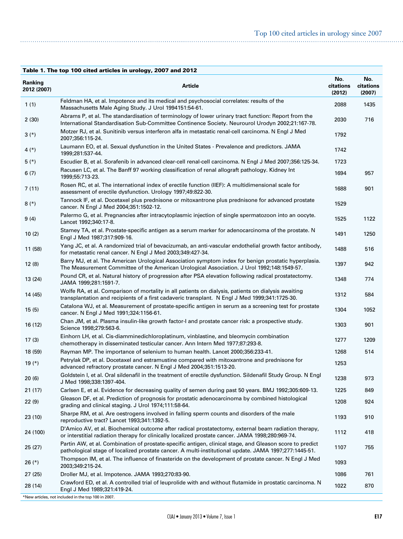| Table 1. The top 100 cited articles in urology, 2007 and 2012 |                                                                                                                                                                                                                   |                            |                            |  |
|---------------------------------------------------------------|-------------------------------------------------------------------------------------------------------------------------------------------------------------------------------------------------------------------|----------------------------|----------------------------|--|
| Ranking<br>2012 (2007)                                        | <b>Article</b>                                                                                                                                                                                                    | No.<br>citations<br>(2012) | No.<br>citations<br>(2007) |  |
| 1(1)                                                          | Feldman HA, et al. Impotence and its medical and psychosocial correlates: results of the<br>Massachusetts Male Aging Study. J Urol 1994151:54-61.                                                                 | 2088                       | 1435                       |  |
| 2(30)                                                         | Abrams P, et al. The standardisation of terminology of lower urinary tract function: Report from the<br>International Standardisation Sub-Committee Continence Society. Neurourol Urodyn 2002;21:167-78.          | 2030                       | 716                        |  |
| $3(*)$                                                        | Motzer RJ, et al. Sunitinib versus interferon alfa in metastatic renal-cell carcinoma. N Engl J Med<br>2007;356:115-24.                                                                                           | 1792                       |                            |  |
| 4 $(*)$                                                       | Laumann EO, et al. Sexual dysfunction in the United States - Prevalence and predictors. JAMA<br>1999;281:537-44.                                                                                                  | 1742                       |                            |  |
| $5(*)$                                                        | Escudier B, et al. Sorafenib in advanced clear-cell renal-cell carcinoma. N Engl J Med 2007;356:125-34.                                                                                                           | 1723                       |                            |  |
| 6(7)                                                          | Racusen LC, et al. The Banff 97 working classification of renal allograft pathology. Kidney Int<br>1999;55:713-23.                                                                                                | 1694                       | 957                        |  |
| 7(11)                                                         | Rosen RC, et al. The international index of erectile function (IIEF): A multidimensional scale for<br>assessment of erectile dysfunction. Urology 1997;49:822-30.                                                 | 1688                       | 901                        |  |
| $8(*)$                                                        | Tannock IF, et al. Docetaxel plus prednisone or mitoxantrone plus prednisone for advanced prostate<br>cancer. N Engl J Med 2004;351:1502-12.                                                                      | 1529                       |                            |  |
| 9(4)                                                          | Palermo G, et al. Pregnancies after intracytoplasmic injection of single spermatozoon into an oocyte.<br>Lancet 1992;340:17-8.                                                                                    | 1525                       | 1122                       |  |
| 10(2)                                                         | Stamey TA, et al. Prostate-specific antigen as a serum marker for adenocarcinoma of the prostate. N<br>Engl J Med 1987;317:909-16.                                                                                | 1491                       | 1250                       |  |
| 11 (58)                                                       | Yang JC, et al. A randomized trial of bevacizumab, an anti-vascular endothelial growth factor antibody,<br>for metastatic renal cancer. N Engl J Med 2003;349:427-34.                                             | 1488                       | 516                        |  |
| 12(8)                                                         | Barry MJ, et al. The American Urological Association symptom index for benign prostatic hyperplasia.<br>The Measurement Committee of the American Urological Association. J Urol 1992;148:1549-57.                | 1397                       | 942                        |  |
| 13 (24)                                                       | Pound CR, et al. Natural history of progression after PSA elevation following radical prostatectomy.<br>JAMA 1999;281:1591-7.                                                                                     | 1348                       | 774                        |  |
| 14 (45)                                                       | Wolfe RA, et al. Comparison of mortality in all patients on dialysis, patients on dialysis awaiting<br>transplantation and recipients of a first cadaveric transplant. N Engl J Med 1999;341:1725-30.             | 1312                       | 584                        |  |
| 15(5)                                                         | Catalona WJ, et al. Measurement of prostate-specific antigen in serum as a screening test for prostate<br>cancer. N Engl J Med 1991;324:1156-61.                                                                  | 1304                       | 1052                       |  |
| 16 (12)                                                       | Chan JM, et al. Plasma insulin-like growth factor-I and prostate cancer risk: a prospective study.<br>Science 1998;279:563-6.                                                                                     | 1303                       | 901                        |  |
| 17(3)                                                         | Einhorn LH, et al. Cis-diamminedichloroplatinum, vinblastine, and bleomycin combination<br>chemotherapy in disseminated testicular cancer. Ann Intern Med 1977;87:293-8.                                          | 1277                       | 1209                       |  |
| 18 (59)                                                       | Rayman MP. The importance of selenium to human health. Lancet 2000;356:233-41.                                                                                                                                    | 1268                       | 514                        |  |
| 19 $(*)$                                                      | Petrylak DP, et al. Docetaxel and estramustine compared with mitoxantrone and prednisone for<br>advanced refractory prostate cancer. N Engl J Med 2004;351:1513-20.                                               | 1253                       |                            |  |
| 20(6)                                                         | Goldstein I, et al. Oral sildenafil in the treatment of erectile dysfunction. Sildenafil Study Group. N Engl<br>J Med 1998;338:1397-404.                                                                          | 1238                       | 973                        |  |
| 21(17)                                                        | Carlsen E, et al. Evidence for decreasing quality of semen during past 50 years. BMJ 1992;305:609-13.                                                                                                             | 1225                       | 849                        |  |
| 22(9)                                                         | Gleason DF, et al. Prediction of prognosis for prostatic adenocarcinoma by combined histological<br>grading and clinical staging. J Urol 1974;111:58-64.                                                          | 1208                       | 924                        |  |
| 23 (10)                                                       | Sharpe RM, et al. Are oestrogens involved in falling sperm counts and disorders of the male<br>reproductive tract? Lancet 1993;341:1392-5.                                                                        | 1193                       | 910                        |  |
| 24 (100)                                                      | D'Amico AV, et al. Biochemical outcome after radical prostatectomy, external beam radiation therapy,<br>or interstitial radiation therapy for clinically localized prostate cancer. JAMA 1998;280:969-74.         | 1112                       | 418                        |  |
| 25(27)                                                        | Partin AW, et al. Combination of prostate-specific antigen, clinical stage, and Gleason score to predict<br>pathological stage of localized prostate cancer. A multi-institutional update. JAMA 1997;277:1445-51. | 1107                       | 755                        |  |
| $26 (*)$                                                      | Thompson IM, et al. The influence of finasteride on the development of prostate cancer. N Engl J Med<br>2003;349:215-24.                                                                                          | 1093                       |                            |  |
| 27 (25)                                                       | Droller MJ, et al. Impotence. JAMA 1993;270:83-90.                                                                                                                                                                | 1086                       | 761                        |  |
| 28 (14)                                                       | Crawford ED, et al. A controlled trial of leuprolide with and without flutamide in prostatic carcinoma. N<br>Engl J Med 1989;321:419-24.                                                                          | 1022                       | 870                        |  |

<sup>\*</sup>New articles, not included in the top 100 in 2007.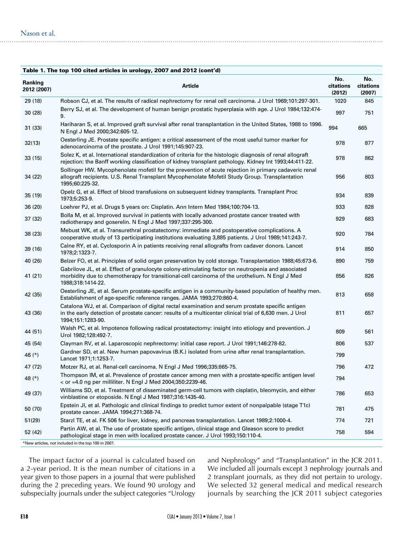| Table 1. The top 100 cited articles in urology, 2007 and 2012 (cont'd) |                                                                                                                                                                                                                                  |                            |                            |  |
|------------------------------------------------------------------------|----------------------------------------------------------------------------------------------------------------------------------------------------------------------------------------------------------------------------------|----------------------------|----------------------------|--|
| Ranking<br>2012 (2007)                                                 | <b>Article</b>                                                                                                                                                                                                                   | No.<br>citations<br>(2012) | No.<br>citations<br>(2007) |  |
| 29 (18)                                                                | Robson CJ, et al. The results of radical nephrectomy for renal cell carcinoma. J Urol 1969;101:297-301.                                                                                                                          | 1020                       | 845                        |  |
| 30 (28)                                                                | Berry SJ, et al. The development of human benign prostatic hyperplasia with age. J Urol 1984;132:474-<br>9.                                                                                                                      | 997                        | 751                        |  |
| 31(33)                                                                 | Hariharan S, et al. Improved graft survival after renal transplantation in the United States, 1988 to 1996.<br>N Engl J Med 2000;342:605-12.                                                                                     | 994                        | 665                        |  |
| 32(13)                                                                 | Oesterling JE. Prostate specific antigen: a critical assessment of the most useful tumor marker for<br>adenocarcinoma of the prostate. J Urol 1991;145:907-23.                                                                   | 978                        | 877                        |  |
| 33(15)                                                                 | Solez K, et al. International standardization of criteria for the histologic diagnosis of renal allograft<br>rejection: the Banff working classification of kidney transplant pathology. Kidney Int 1993;44:411-22.              | 978                        | 862                        |  |
| 34(22)                                                                 | Sollinger HW. Mycophenolate mofetil for the prevention of acute rejection in primary cadaveric renal<br>allograft recipients. U.S. Renal Transplant Mycophenolate Mofetil Study Group. Transplantation<br>1995;60:225-32.        | 956                        | 803                        |  |
| 35 (19)                                                                | Opelz G, et al. Effect of blood transfusions on subsequent kidney transplants. Transplant Proc<br>1973;5:253-9.                                                                                                                  | 934                        | 839                        |  |
| 36(20)                                                                 | Loehrer PJ, et al. Drugs 5 years on: Cisplatin. Ann Intern Med 1984;100:704-13.                                                                                                                                                  | 933                        | 828                        |  |
| 37 (32)                                                                | Bolla M, et al. Improved survival in patients with locally advanced prostate cancer treated with<br>radiotherapy and goserelin. N Engl J Med 1997;337:295-300.                                                                   | 929                        | 683                        |  |
| 38 (23)                                                                | Mebust WK, et al. Transurethral prostatectomy: immediate and postoperative complications. A<br>cooperative study of 13 participating institutions evaluating 3,885 patients. J Urol 1989;141:243-7.                              | 920                        | 784                        |  |
| 39 (16)                                                                | Calne RY, et al. Cyclosporin A in patients receiving renal allografts from cadaver donors. Lancet<br>1978;2:1323-7.                                                                                                              | 914                        | 850                        |  |
| 40 (26)                                                                | Belzer FO, et al. Principles of solid organ preservation by cold storage. Transplantation 1988;45:673-6.                                                                                                                         | 890                        | 759                        |  |
| 41 (21)                                                                | Gabrilove JL, et al. Effect of granulocyte colony-stimulating factor on neutropenia and associated<br>morbidity due to chemotherapy for transitional-cell carcinoma of the urothelium. N Engl J Med<br>1988;318:1414-22.         | 856                        | 826                        |  |
| 42 (35)                                                                | Oesterling JE, et al. Serum prostate-specific antigen in a community-based population of healthy men.<br>Establishment of age-specific reference ranges. JAMA 1993;270:860-4.                                                    | 813                        | 658                        |  |
| 43 (36)                                                                | Catalona WJ, et al. Comparison of digital rectal examination and serum prostate specific antigen<br>in the early detection of prostate cancer: results of a multicenter clinical trial of 6,630 men. J Urol<br>1994;151:1283-90. | 811                        | 657                        |  |
| 44 (51)                                                                | Walsh PC, et al. Impotence following radical prostatectomy: insight into etiology and prevention. J<br>Urol 1982;128:492-7.                                                                                                      | 809                        | 561                        |  |
| 45 (54)                                                                | Clayman RV, et al. Laparoscopic nephrectomy: initial case report. J Urol 1991;146:278-82.                                                                                                                                        | 806                        | 537                        |  |
| 46 (*)                                                                 | Gardner SD, et al. New human papovavirus (B.K.) isolated from urine after renal transplantation.<br>Lancet 1971;1:1253-7.                                                                                                        | 799                        |                            |  |
| 47 (72)                                                                | Motzer RJ, et al. Renal-cell carcinoma. N Engl J Med 1996;335:865-75.                                                                                                                                                            | 796                        | 472                        |  |
| 48 (*)                                                                 | Thompson IM, et al. Prevalence of prostate cancer among men with a prostate-specific antigen level<br>< or =4.0 ng per milliliter. N Engl J Med 2004;350:2239-46.                                                                | 794                        |                            |  |
| 49 (37)                                                                | Williams SD, et al. Treatment of disseminated germ-cell tumors with cisplatin, bleomycin, and either<br>vinblastine or etoposide. N Engl J Med 1987;316:1435-40.                                                                 | 786                        | 653                        |  |
| 50 (70)                                                                | Epstein JI, et al. Pathologic and clinical findings to predict tumor extent of nonpalpable (stage T1c)<br>prostate cancer. JAMA 1994;271:368-74.                                                                                 | 781                        | 475                        |  |
| 51(29)                                                                 | Starzl TE, et al. FK 506 for liver, kidney, and pancreas transplantation. Lancet 1989;2:1000-4.                                                                                                                                  | 774                        | 721                        |  |
| 52 (42)                                                                | Partin AW, et al. The use of prostate specific antigen, clinical stage and Gleason score to predict<br>pathological stage in men with localized prostate cancer. J Urol 1993;150:110-4.                                          | 758                        | 594                        |  |
|                                                                        | *New articles, not included in the top 100 in 2007.                                                                                                                                                                              |                            |                            |  |

The impact factor of a journal is calculated based on a 2-year period. It is the mean number of citations in a year given to those papers in a journal that were published during the 2 preceding years. We found 90 urology and subspecialty journals under the subject categories "Urology and Nephrology" and "Transplantation" in the JCR 2011. We included all journals except 3 nephrology journals and 2 transplant journals, as they did not pertain to urology. We selected 32 general medical and medical research journals by searching the JCR 2011 subject categories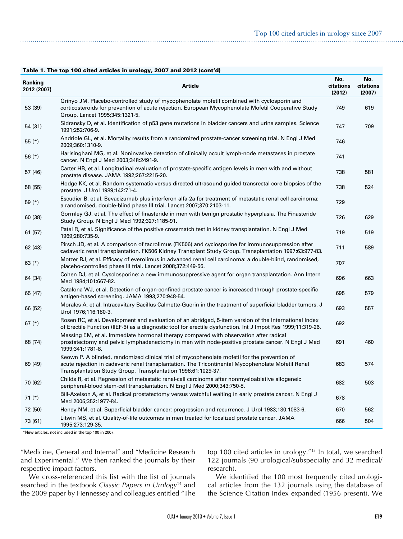|                        | Table 1. The top 100 cited articles in urology, 2007 and 2012 (cont'd)                                                                                                                                                                                              |                            |                            |
|------------------------|---------------------------------------------------------------------------------------------------------------------------------------------------------------------------------------------------------------------------------------------------------------------|----------------------------|----------------------------|
| Ranking<br>2012 (2007) | Article                                                                                                                                                                                                                                                             | No.<br>citations<br>(2012) | No.<br>citations<br>(2007) |
| 53 (39)                | Grinyo JM. Placebo-controlled study of mycophenolate mofetil combined with cyclosporin and<br>corticosteroids for prevention of acute rejection. European Mycophenolate Mofetil Cooperative Study<br>Group. Lancet 1995;345:1321-5.                                 | 749                        | 619                        |
| 54 (31)                | Sidransky D, et al. Identification of p53 gene mutations in bladder cancers and urine samples. Science<br>1991;252:706-9.                                                                                                                                           | 747                        | 709                        |
| 55 $(*)$               | Andriole GL, et al. Mortality results from a randomized prostate-cancer screening trial. N Engl J Med<br>2009;360:1310-9.                                                                                                                                           | 746                        |                            |
| 56 (*)                 | Harisinghani MG, et al. Noninvasive detection of clinically occult lymph-node metastases in prostate<br>cancer. N Engl J Med 2003;348:2491-9.                                                                                                                       | 741                        |                            |
| 57 (46)                | Carter HB, et al. Longitudinal evaluation of prostate-specific antigen levels in men with and without<br>prostate disease. JAMA 1992;267:2215-20.                                                                                                                   | 738                        | 581                        |
| 58 (55)                | Hodge KK, et al. Random systematic versus directed ultrasound guided transrectal core biopsies of the<br>prostate. J Urol 1989;142:71-4.                                                                                                                            | 738                        | 524                        |
| 59 (*)                 | Escudier B, et al. Bevacizumab plus interferon alfa-2a for treatment of metastatic renal cell carcinoma:<br>a randomised, double-blind phase III trial. Lancet 2007;370:2103-11.                                                                                    | 729                        |                            |
| 60 (38)                | Gormley GJ, et al. The effect of finasteride in men with benign prostatic hyperplasia. The Finasteride<br>Study Group. N Engl J Med 1992;327:1185-91.                                                                                                               | 726                        | 629                        |
| 61(57)                 | Patel R, et al. Significance of the positive crossmatch test in kidney transplantation. N Engl J Med<br>1969;280:735-9.                                                                                                                                             | 719                        | 519                        |
| 62 (43)                | Pirsch JD, et al. A comparison of tacrolimus (FK506) and cyclosporine for immunosuppression after<br>cadaveric renal transplantation. FK506 Kidney Transplant Study Group. Transplantation 1997;63:977-83.                                                          | 711                        | 589                        |
| 63 $(*)$               | Motzer RJ, et al. Efficacy of everolimus in advanced renal cell carcinoma: a double-blind, randomised,<br>placebo-controlled phase III trial. Lancet 2008;372:449-56.                                                                                               | 707                        |                            |
| 64 (34)                | Cohen DJ, et al. Cysclosporine: a new immunosuppressive agent for organ transplantation. Ann Intern<br>Med 1984;101:667-82.                                                                                                                                         | 696                        | 663                        |
| 65 (47)                | Catalona WJ, et al. Detection of organ-confined prostate cancer is increased through prostate-specific<br>antigen-based screening. JAMA 1993;270:948-54.                                                                                                            | 695                        | 579                        |
| 66 (52)                | Morales A, et al. Intracavitary Bacillus Calmette-Guerin in the treatment of superficial bladder tumors. J<br>Urol 1976;116:180-3.                                                                                                                                  | 693                        | 557                        |
| 67 $(*)$               | Rosen RC, et al. Development and evaluation of an abridged, 5-item version of the International Index<br>of Erectile Function (IIEF-5) as a diagnostic tool for erectile dysfunction. Int J Impot Res 1999;11:319-26.                                               | 692                        |                            |
| 68 (74)                | Messing EM, et al. Immediate hormonal therapy compared with observation after radical<br>prostatectomy and pelvic lymphadenectomy in men with node-positive prostate cancer. N Engl J Med<br>1999;341:1781-8.                                                       | 691                        | 460                        |
| 69 (49)                | Keown P. A blinded, randomized clinical trial of mycophenolate mofetil for the prevention of<br>acute rejection in cadaveric renal transplantation. The Tricontinental Mycophenolate Mofetil Renal<br>Transplantation Study Group. Transplantation 1996;61:1029-37. | 683                        | 574                        |
| 70 (62)                | Childs R, et al. Regression of metastatic renal-cell carcinoma after nonmyeloablative allogeneic<br>peripheral-blood stem-cell transplantation. N Engl J Med 2000;343:750-8.                                                                                        | 682                        | 503                        |
| 71 (*)                 | Bill-Axelson A, et al. Radical prostatectomy versus watchful waiting in early prostate cancer. N Engl J<br>Med 2005;352:1977-84.                                                                                                                                    | 678                        |                            |
| 72 (50)                | Heney NM, et al. Superficial bladder cancer: progression and recurrence. J Urol 1983;130:1083-6.                                                                                                                                                                    | 670                        | 562                        |
| 73 (61)                | Litwin MS, et al. Quality-of-life outcomes in men treated for localized prostate cancer. JAMA<br>1995;273:129-35.                                                                                                                                                   | 666                        | 504                        |
|                        | *New articles, not included in the top 100 in 2007.                                                                                                                                                                                                                 |                            |                            |

"Medicine, General and Internal" and "Medicine Research and Experimental." We then ranked the journals by their respective impact factors.

top 100 cited articles in urology."13 In total, we searched 122 journals (90 urological/subspecialty and 32 medical/ research).

We cross-referenced this list with the list of journals searched in the textbook *Classic Papers in Urology*14 and the 2009 paper by Hennessey and colleagues entitled "The

We identified the 100 most frequently cited urological articles from the 132 journals using the database of the Science Citation Index expanded (1956-present). We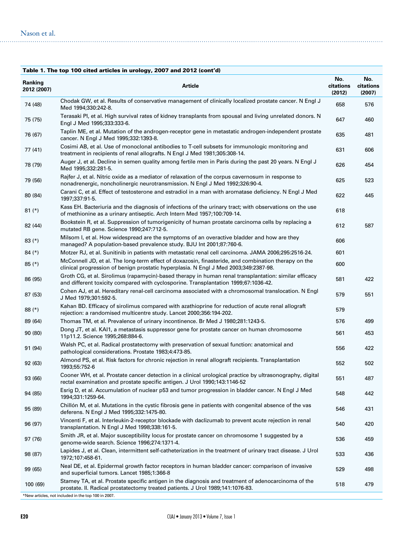|  | Table 1. The top 100 cited articles in urology, 2007 and 2012 (cont'd) |
|--|------------------------------------------------------------------------|
|  |                                                                        |

| Ranking<br>2012 (2007) | <b>Article</b>                                                                                                                                                                               | No.<br>citations<br>(2012) | No.<br>citations<br>(2007) |
|------------------------|----------------------------------------------------------------------------------------------------------------------------------------------------------------------------------------------|----------------------------|----------------------------|
| 74 (48)                | Chodak GW, et al. Results of conservative management of clinically localized prostate cancer. N Engl J<br>Med 1994;330:242-8.                                                                | 658                        | 576                        |
| 75 (75)                | Terasaki PI, et al. High survival rates of kidney transplants from spousal and living unrelated donors. N<br>Engl J Med 1995;333:333-6.                                                      | 647                        | 460                        |
| 76 (67)                | Taplin ME, et al. Mutation of the androgen-receptor gene in metastatic androgen-independent prostate<br>cancer. N Engl J Med 1995;332:1393-8.                                                | 635                        | 481                        |
| 77 (41)                | Cosimi AB, et al. Use of monoclonal antibodies to T-cell subsets for immunologic monitoring and<br>treatment in recipients of renal allografts. N Engl J Med 1981;305:308-14.                | 631                        | 606                        |
| 78 (79)                | Auger J, et al. Decline in semen quality among fertile men in Paris during the past 20 years. N Engl J<br>Med 1995;332:281-5.                                                                | 626                        | 454                        |
| 79 (56)                | Rajfer J, et al. Nitric oxide as a mediator of relaxation of the corpus cavernosum in response to<br>nonadrenergic, noncholinergic neurotransmission. N Engl J Med 1992;326:90-4.            | 625                        | 523                        |
| 80 (84)                | Carani C, et al. Effect of testosterone and estradiol in a man with aromatase deficiency. N Engl J Med<br>1997;337:91-5.                                                                     | 622                        | 445                        |
| $81$ (*)               | Kass EH. Bacteriuria and the diagnosis of infections of the urinary tract; with observations on the use<br>of methionine as a urinary antiseptic. Arch Intern Med 1957;100:709-14.           | 618                        |                            |
| 82 (44)                | Bookstein R, et al. Suppression of tumorigenicity of human prostate carcinoma cells by replacing a<br>mutated RB gene. Science 1990;247:712-5.                                               | 612                        | 587                        |
| $83$ (*)               | Milsom I, et al. How widespread are the symptoms of an overactive bladder and how are they<br>managed? A population-based prevalence study. BJU Int 2001;87:760-6.                           | 606                        |                            |
| $84$ (*)               | Motzer RJ, et al. Sunitinib in patients with metastatic renal cell carcinoma. JAMA 2006;295:2516-24.                                                                                         | 601                        |                            |
| $85$ (*)               | McConnell JD, et al. The long-term effect of doxazosin, finasteride, and combination therapy on the<br>clinical progression of benign prostatic hyperplasia. N Engl J Med 2003;349:2387-98.  | 600                        |                            |
| 86 (95)                | Groth CG, et al. Sirolimus (rapamycin)-based therapy in human renal transplantation: similar efficacy<br>and different toxicity compared with cyclosporine. Transplantation 1999;67:1036-42. | 581                        | 422                        |
| 87 (53)                | Cohen AJ, et al. Hereditary renal-cell carcinoma associated with a chromosomal translocation. N Engl<br>J Med 1979;301:592-5.                                                                | 579                        | 551                        |
| $88$ (*)               | Kahan BD. Efficacy of sirolimus compared with azathioprine for reduction of acute renal allograft<br>rejection: a randomised multicentre study. Lancet 2000;356:194-202.                     | 579                        |                            |
| 89 (64)                | Thomas TM, et al. Prevalence of urinary incontinence. Br Med J 1980;281:1243-5.                                                                                                              | 576                        | 499                        |
| 90 (80)                | Dong JT, et al. KAI1, a metastasis suppressor gene for prostate cancer on human chromosome<br>11p11.2. Science 1995;268:884-6.                                                               | 561                        | 453                        |
| 91 (94)                | Walsh PC, et al. Radical prostatectomy with preservation of sexual function: anatomical and<br>pathological considerations. Prostate 1983;4:473-85.                                          | 556                        | 422                        |
| 92 (63)                | Almond PS, et al. Risk factors for chronic rejection in renal allograft recipients. Transplantation<br>1993;55:752-6                                                                         | 552                        | 502                        |
| 93 (66)                | Cooner WH, et al. Prostate cancer detection in a clinical urological practice by ultrasonography, digital<br>rectal examination and prostate specific antigen. J Urol 1990;143:1146-52       | 551                        | 487                        |
| 94 (85)                | Esrig D, et al. Accumulation of nuclear p53 and tumor progression in bladder cancer. N Engl J Med<br>1994;331:1259-64.                                                                       | 548                        | 442                        |
| 95 (89)                | Chillón M, et al. Mutations in the cystic fibrosis gene in patients with congenital absence of the vas<br>deferens. N Engl J Med 1995;332:1475-80.                                           | 546                        | 431                        |
| 96 (97)                | Vincenti F, et al. Interleukin-2-receptor blockade with daclizumab to prevent acute rejection in renal<br>transplantation. N Engl J Med 1998;338:161-5.                                      | 540                        | 420                        |
| 97 (76)                | Smith JR, et al. Major susceptibility locus for prostate cancer on chromosome 1 suggested by a<br>genome-wide search. Science 1996;274:1371-4.                                               | 536                        | 459                        |
| 98 (87)                | Lapides J, et al. Clean, intermittent self-catheterization in the treatment of urinary tract disease. J Urol<br>1972;107:458-61.                                                             | 533                        | 436                        |
| 99 (65)                | Neal DE, et al. Epidermal growth factor receptors in human bladder cancer: comparison of invasive<br>and superficial tumors. Lancet 1985;1:366-8                                             | 529                        | 498                        |
| 100 (69)               | Stamey TA, et al. Prostate specific antigen in the diagnosis and treatment of adenocarcinoma of the<br>prostate. II. Radical prostatectomy treated patients. J Urol 1989;141:1076-83.        | 518                        | 479                        |
|                        | *New articles, not included in the top 100 in 2007.                                                                                                                                          |                            |                            |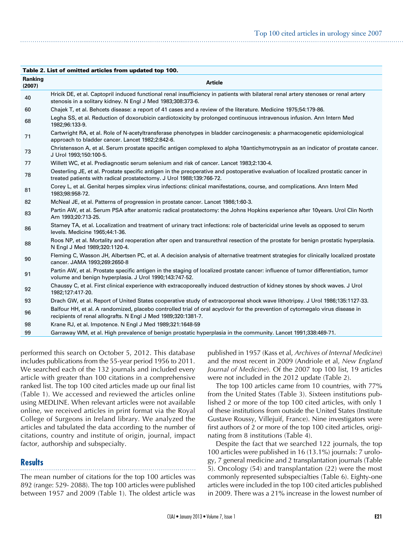|                   | Table 2. List of omitted articles from updated top TOO.                                                                                                                                                   |
|-------------------|-----------------------------------------------------------------------------------------------------------------------------------------------------------------------------------------------------------|
| Ranking<br>(2007) | <b>Article</b>                                                                                                                                                                                            |
| 40                | Hricik DE, et al. Captopril induced functional renal insufficiency in patients with bilateral renal artery stenoses or renal artery<br>stenosis in a solitary kidney. N Engl J Med 1983;308:373-6.        |
| 60                | Chajek T, et al. Behcets disease: a report of 41 cases and a review of the literature. Medicine 1975;54:179-86.                                                                                           |
| 68                | Legha SS, et al. Reduction of doxorubicin cardiotoxicity by prolonged continuous intravenous infusion. Ann Intern Med<br>1982;96:133-9.                                                                   |
| 71                | Cartwright RA, et al. Role of N-acetyltransferase phenotypes in bladder carcinogenesis: a pharmacogenetic epidemiological<br>approach to bladder cancer. Lancet 1982;2:842-6.                             |
| 73                | Christensson A, et al. Serum prostate specific antigen complexed to alpha 10antichymotrypsin as an indicator of prostate cancer.<br>J Urol 1993;150:100-5.                                                |
| 77                | Willett WC, et al. Prediagnostic serum selenium and risk of cancer. Lancet 1983;2:130-4.                                                                                                                  |
| 78                | Oesterling JE, et al. Prostate specific antigen in the preoperative and postoperative evaluation of localized prostatic cancer in<br>treated patients with radical prostatectomy. J Urol 1988;139:766-72. |
| 81                | Corey L, et al. Genital herpes simplex virus infections: clinical manifestations, course, and complications. Ann Intern Med<br>1983;98:958-72.                                                            |
| 82                | McNeal JE, et al. Patterns of progression in prostate cancer. Lancet 1986;1:60-3.                                                                                                                         |
| 83                | Partin AW, et al. Serum PSA after anatomic radical prostatectomy: the Johns Hopkins experience after 10years. Urol Clin North<br>Am 1993;20:713-25.                                                       |
| 86                | Stamey TA, et al. Localization and treatment of urinary tract infections: role of bactericidal urine levels as opposed to serum<br>levels. Medicine 1965;44:1-36.                                         |
| 88                | Roos NP, et al. Mortality and reoperation after open and transurethral resection of the prostate for benign prostatic hyperplasia.<br>N Engl J Med 1989;320:1120-4.                                       |
| 90                | Fleming C, Wasson JH, Albertsen PC, et al. A decision analysis of alternative treatment strategies for clinically localized prostate<br>cancer. JAMA 1993;269:2650-8                                      |
| 91                | Partin AW, et al. Prostate specific antigen in the staging of localized prostate cancer: influence of tumor differentiation, tumor<br>volume and benign hyperplasia. J Urol 1990;143:747-52.              |
| 92                | Chaussy C, et al. First clinical experience with extracoporeally induced destruction of kidney stones by shock waves. J Urol<br>1982;127:417-20.                                                          |
| 93                | Drach GW, et al. Report of United States cooperative study of extracorporeal shock wave lithotripsy. J Urol 1986;135:1127-33.                                                                             |
| 96                | Balfour HH, et al. A randomized, placebo controlled trial of oral acyclovir for the prevention of cytomegalo virus disease in<br>recipients of renal allografts. N Engl J Med 1989;320:1381-7.            |
| 98                | Krane RJ, et al. Impotence. N Engl J Med 1989;321:1648-59                                                                                                                                                 |
| 99                | Garraway WM, et al. High prevalence of benign prostatic hyperplasia in the community. Lancet 1991;338:469-71.                                                                                             |

performed this search on October 5, 2012. This database includes publications from the 55-year period 1956 to 2011. We searched each of the 132 journals and included every article with greater than 100 citations in a comprehensive ranked list. The top 100 cited articles made up our final list (Table 1). We accessed and reviewed the articles online using MEDLINE. When relevant articles were not available online, we received articles in print format via the Royal College of Surgeons in Ireland library. We analyzed the articles and tabulated the data according to the number of citations, country and institute of origin, journal, impact factor, authorship and subspecialty.

Table 2. List of omitted articles from updated top 100.

## **Results**

The mean number of citations for the top 100 articles was 892 (range: 529- 2088). The top 100 articles were published between 1957 and 2009 (Table 1). The oldest article was published in 1957 (Kass et al, *Archives of Internal Medicine*) and the most recent in 2009 (Andriole et al, *New England Journal of Medicine*). Of the 2007 top 100 list, 19 articles were not included in the 2012 update (Table 2).

The top 100 articles came from 10 countries, with 77% from the United States (Table 3). Sixteen institutions published 2 or more of the top 100 cited articles, with only 1 of these institutions from outside the United States (Institute Gustave Roussy, Villejuif, France). Nine investigators were first authors of 2 or more of the top 100 cited articles, originating from 8 institutions (Table 4).

Despite the fact that we searched 122 journals, the top 100 articles were published in 16 (13.1%) journals: 7 urology, 7 general medicine and 2 transplantation journals (Table 5). Oncology (54) and transplantation (22) were the most commonly represented subspecialties (Table 6). Eighty-one articles were included in the top 100 cited articles published in 2009. There was a 21% increase in the lowest number of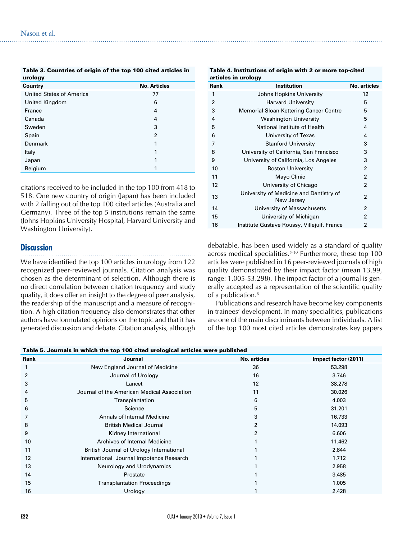| Table 3. Countries of origin of the top TOO cited articles in<br>urology |                     |  |
|--------------------------------------------------------------------------|---------------------|--|
| Country                                                                  | <b>No. Articles</b> |  |
| United States of America                                                 | 77                  |  |
| United Kingdom                                                           | 6                   |  |
| France                                                                   | 4                   |  |
| Canada                                                                   | 4                   |  |
| Sweden                                                                   | 3                   |  |
| Spain                                                                    | $\overline{2}$      |  |
| Denmark                                                                  | 1                   |  |
| Italy                                                                    | 1                   |  |
| Japan                                                                    | 1                   |  |
| Belgium                                                                  |                     |  |

 $T_{\rm eff}$  3. Countries of the top 100 cited articles in the top 100 cited articles in the top 100 cited articles in the top 100 cited articles in the top 100 cited articles in the top 100 cited articles in the top 100 cite

citations received to be included in the top 100 from 418 to 518. One new country of origin (Japan) has been included with 2 falling out of the top 100 cited articles (Australia and Germany). Three of the top 5 institutions remain the same (Johns Hopkins University Hospital, Harvard University and Washington University).

#### **Discussion**

We have identified the top 100 articles in urology from 122 recognized peer-reviewed journals. Citation analysis was chosen as the determinant of selection. Although there is no direct correlation between citation frequency and study quality, it does offer an insight to the degree of peer analysis, the readership of the manuscript and a measure of recognition. A high citation frequency also demonstrates that other authors have formulated opinions on the topic and that it has generated discussion and debate. Citation analysis, although

| articles in urology |                                                       |                     |  |
|---------------------|-------------------------------------------------------|---------------------|--|
| Rank                | <b>Institution</b>                                    | <b>No. articles</b> |  |
| 1                   | Johns Hopkins University                              | 12                  |  |
| $\overline{2}$      | <b>Harvard University</b>                             | 5                   |  |
| 3                   | Memorial Sloan Kettering Cancer Centre                | 5                   |  |
| 4                   | <b>Washington University</b>                          | 5                   |  |
| 5                   | National Institute of Health                          | 4                   |  |
| 6                   | University of Texas                                   | 4                   |  |
| 7                   | <b>Stanford University</b>                            | 3                   |  |
| 8                   | University of California, San Francisco               | 3                   |  |
| 9                   | University of California, Los Angeles                 | 3                   |  |
| 10                  | <b>Boston University</b>                              | $\overline{2}$      |  |
| 11                  | Mayo Clinic                                           | $\overline{2}$      |  |
| 12                  | University of Chicago                                 | 2                   |  |
| 13                  | University of Medicine and Dentistry of<br>New Jersey | 2                   |  |
| 14                  | University of Massachusetts                           | 2                   |  |
| 15                  | University of Michigan                                | 2                   |  |
| 16                  | Institute Gustave Roussy, Villejuif, France           | 2                   |  |

debatable, has been used widely as a standard of quality across medical specialities.<sup>5-10</sup> Furthermore, these top 100 articles were published in 16 peer-reviewed journals of high quality demonstrated by their impact factor (mean 13.99, range: 1.005-53.298). The impact factor of a journal is generally accepted as a representation of the scientific quality of a publication.<sup>8</sup>

Publications and research have become key components in trainees' development. In many specialities, publications are one of the main discriminants between individuals. A list of the top 100 most cited articles demonstrates key papers

| Table 5. Journals in which the top 100 cited urological articles were published |                                             |              |                      |
|---------------------------------------------------------------------------------|---------------------------------------------|--------------|----------------------|
| Rank                                                                            | Journal                                     | No. articles | Impact factor (2011) |
|                                                                                 | New England Journal of Medicine             | 36           | 53.298               |
| 2                                                                               | Journal of Urology                          | 16           | 3.746                |
| 3                                                                               | Lancet                                      | 12           | 38,278               |
|                                                                                 | Journal of the American Medical Association | 11           | 30.026               |
| 5                                                                               | Transplantation                             | 6            | 4.003                |
| 6                                                                               | Science                                     | 5            | 31.201               |
|                                                                                 | Annals of Internal Medicine                 | 3            | 16.733               |
| 8                                                                               | <b>British Medical Journal</b>              | 2            | 14.093               |
| 9                                                                               | Kidney International                        | 2            | 6.606                |
| 10                                                                              | Archives of Internal Medicine               |              | 11.462               |
| 11                                                                              | British Journal of Urology International    |              | 2.844                |
| 12                                                                              | International Journal Impotence Research    |              | 1.712                |
| 13                                                                              | Neurology and Urodynamics                   |              | 2.958                |
| 14                                                                              | Prostate                                    |              | 3.485                |
| 15                                                                              | <b>Transplantation Proceedings</b>          |              | 1.005                |
| 16                                                                              | Urology                                     |              | 2.428                |

# Table 4. Institutions of origin with 2 or more top-cited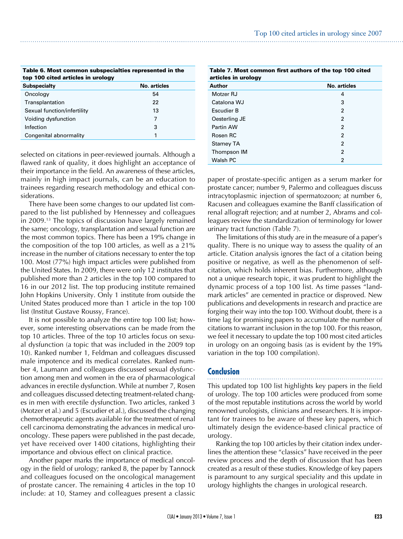| Table 6. Most common subspecialties represented in the<br>top 100 cited articles in urology |    |  |
|---------------------------------------------------------------------------------------------|----|--|
| No. articles<br><b>Subspecialty</b>                                                         |    |  |
| Oncology                                                                                    | 54 |  |
| Transplantation                                                                             | 22 |  |
| Sexual function/infertility                                                                 | 13 |  |
| Voiding dysfunction                                                                         | 7  |  |
| Infection                                                                                   | 3  |  |
| Congenital abnormality<br>1                                                                 |    |  |
|                                                                                             |    |  |

selected on citations in peer-reviewed journals. Although a flawed rank of quality, it does highlight an acceptance of their importance in the field. An awareness of these articles, mainly in high impact journals, can be an education to trainees regarding research methodology and ethical considerations.

There have been some changes to our updated list compared to the list published by Hennessey and colleagues in 2009.13 The topics of discussion have largely remained the same; oncology, transplantation and sexual function are the most common topics. There has been a 19% change in the composition of the top 100 articles, as well as a 21% increase in the number of citations necessary to enter the top 100. Most (77%) high impact articles were published from the United States. In 2009, there were only 12 institutes that published more than 2 articles in the top 100 compared to 16 in our 2012 list. The top producing institute remained John Hopkins University. Only 1 institute from outside the United States produced more than 1 article in the top 100 list (Institut Gustave Roussy, France).

It is not possible to analyze the entire top 100 list; however, some interesting observations can be made from the top 10 articles. Three of the top 10 articles focus on sexual dysfunction (a topic that was included in the 2009 top 10). Ranked number 1, Feldman and colleagues discussed male impotence and its medical correlates. Ranked number 4, Laumann and colleagues discussed sexual dysfunction among men and women in the era of pharmacological advances in erectile dysfunction. While at number 7, Rosen and colleagues discussed detecting treatment-related changes in men with erectile dysfunction. Two articles, ranked 3 (Motzer et al.) and 5 (Escudier et al.), discussed the changing chemotherapeutic agents available for the treatment of renal cell carcinoma demonstrating the advances in medical urooncology. These papers were published in the past decade, yet have received over 1400 citations, highlighting their importance and obvious effect on clinical practice.

Another paper marks the importance of medical oncology in the field of urology; ranked 8, the paper by Tannock and colleagues focused on the oncological management of prostate cancer. The remaining 4 articles in the top 10 include: at 10, Stamey and colleagues present a classic

| Table 7. Most common first authors of the top 100 cited<br>articles in urology |                |  |
|--------------------------------------------------------------------------------|----------------|--|
| Author                                                                         | No. articles   |  |
| Motzer RJ                                                                      | 4              |  |
| Catalona WJ                                                                    | 3              |  |
| Escudier B                                                                     | 2              |  |
| Oesterling JE                                                                  | 2              |  |
| Partin AW                                                                      | 2              |  |
| Rosen RC                                                                       | 2              |  |
| <b>Stamey TA</b>                                                               | 2              |  |
| Thompson IM                                                                    | $\overline{2}$ |  |
| Walsh PC                                                                       | 2              |  |

paper of prostate-specific antigen as a serum marker for prostate cancer; number 9, Palermo and colleagues discuss intracytoplasmic injection of spermatozoon; at number 6, Racusen and colleagues examine the Banff classification of renal allograft rejection; and at number 2, Abrams and colleagues review the standardization of terminology for lower urinary tract function (Table 7).

The limitations of this study are in the measure of a paper's quality. There is no unique way to assess the quality of an article. Citation analysis ignores the fact of a citation being positive or negative, as well as the phenomenon of selfcitation, which holds inherent bias. Furthermore, although not a unique research topic, it was prudent to highlight the dynamic process of a top 100 list. As time passes "landmark articles" are cemented in practice or disproved. New publications and developments in research and practice are forging their way into the top 100. Without doubt, there is a time lag for promising papers to accumulate the number of citations to warrant inclusion in the top 100. For this reason, we feel it necessary to update the top 100 most cited articles in urology on an ongoing basis (as is evident by the 19% variation in the top 100 compilation).

#### **Conclusion**

This updated top 100 list highlights key papers in the field of urology. The top 100 articles were produced from some of the most reputable institutions across the world by world renowned urologists, clinicians and researchers. It is important for trainees to be aware of these key papers, which ultimately design the evidence-based clinical practice of urology.

Ranking the top 100 articles by their citation index underlines the attention these "classics" have received in the peer review process and the depth of discussion that has been created as a result of these studies. Knowledge of key papers is paramount to any surgical speciality and this update in urology highlights the changes in urological research.